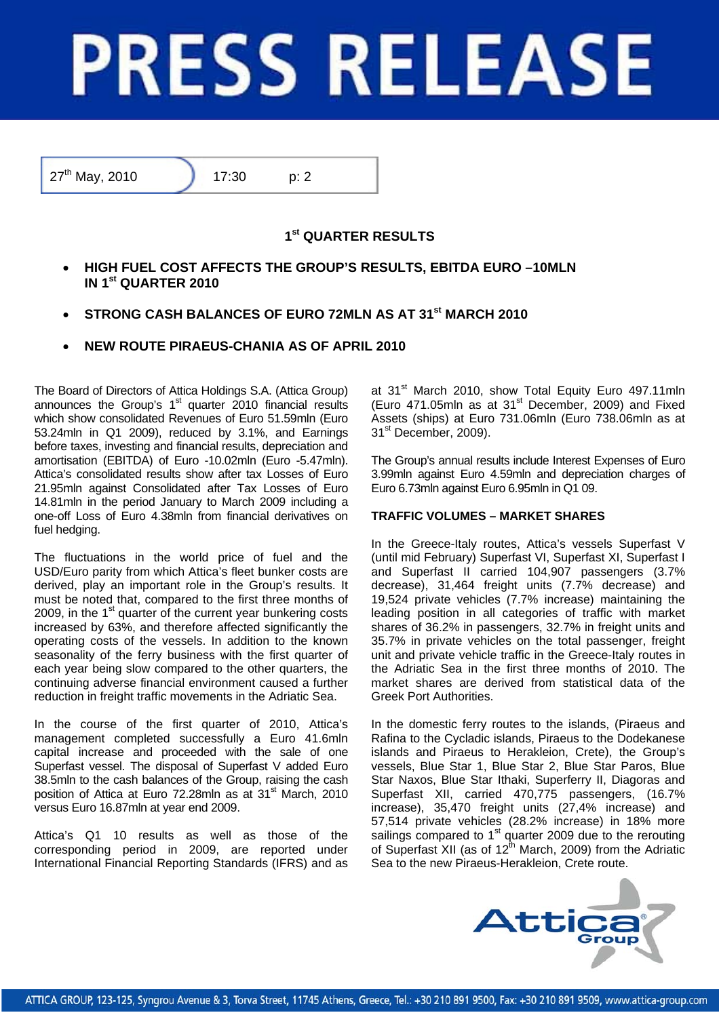# **PRESS RELEASE**

 $27<sup>th</sup>$  May, 2010 <br>17:30 p: 2

# **1st QUARTER RESULTS**

- **HIGH FUEL COST AFFECTS THE GROUP'S RESULTS, EBITDA EURO –10MLN IN 1st QUARTER 2010**
- **STRONG CASH BALANCES OF EURO 72MLN AS AT 31st MARCH 2010**
- **NEW ROUTE PIRAEUS-CHANIA AS OF APRIL 2010**

The Board of Directors of Attica Holdings S.A. (Attica Group) announces the Group's  $1<sup>st</sup>$  quarter 2010 financial results which show consolidated Revenues of Euro 51.59mln (Euro 53.24mln in Q1 2009), reduced by 3.1%, and Earnings before taxes, investing and financial results, depreciation and amortisation (EBITDA) of Euro -10.02mln (Euro -5.47mln). Attica's consolidated results show after tax Losses of Euro 21.95mln against Consolidated after Tax Losses of Euro 14.81mln in the period January to March 2009 including a one-off Loss of Euro 4.38mln from financial derivatives on fuel hedging.

The fluctuations in the world price of fuel and the USD/Euro parity from which Attica's fleet bunker costs are derived, play an important role in the Group's results. It must be noted that, compared to the first three months of 2009, in the  $1<sup>st</sup>$  quarter of the current year bunkering costs increased by 63%, and therefore affected significantly the operating costs of the vessels. In addition to the known seasonality of the ferry business with the first quarter of each year being slow compared to the other quarters, the continuing adverse financial environment caused a further reduction in freight traffic movements in the Adriatic Sea.

In the course of the first quarter of 2010, Attica's management completed successfully a Euro 41.6mln capital increase and proceeded with the sale of one Superfast vessel. The disposal of Superfast V added Euro 38.5mln to the cash balances of the Group, raising the cash position of Attica at Euro 72.28mln as at 31<sup>st</sup> March, 2010 versus Euro 16.87mln at year end 2009.

Attica's Q1 10 results as well as those of the corresponding period in 2009, are reported under International Financial Reporting Standards (IFRS) and as

at 31<sup>st</sup> March 2010, show Total Equity Euro 497.11mln (Euro  $471.05$ mln as at  $31<sup>st</sup>$  December, 2009) and Fixed Assets (ships) at Euro 731.06mln (Euro 738.06mln as at 31<sup>st</sup> December, 2009).

The Group's annual results include Interest Expenses of Euro 3.99mln against Euro 4.59mln and depreciation charges of Euro 6.73mln against Euro 6.95mln in Q1 09.

### **TRAFFIC VOLUMES – MARKET SHARES**

In the Greece-Italy routes, Attica's vessels Superfast V (until mid February) Superfast VI, Superfast XI, Superfast I and Superfast II carried 104,907 passengers (3.7% decrease), 31,464 freight units (7.7% decrease) and 19,524 private vehicles (7.7% increase) maintaining the leading position in all categories of traffic with market shares of 36.2% in passengers, 32.7% in freight units and 35.7% in private vehicles on the total passenger, freight unit and private vehicle traffic in the Greece-Italy routes in the Adriatic Sea in the first three months of 2010. The market shares are derived from statistical data of the Greek Port Authorities.

In the domestic ferry routes to the islands, (Piraeus and Rafina to the Cycladic islands, Piraeus to the Dodekanese islands and Piraeus to Herakleion, Crete), the Group's vessels, Blue Star 1, Blue Star 2, Blue Star Paros, Blue Star Naxos, Blue Star Ithaki, Superferry II, Diagoras and Superfast XII, carried 470,775 passengers, (16.7% increase), 35,470 freight units (27,4% increase) and 57,514 private vehicles (28.2% increase) in 18% more sailings compared to  $1<sup>st</sup>$  quarter 2009 due to the rerouting of Superfast XII (as of 12<sup>th</sup> March, 2009) from the Adriatic Sea to the new Piraeus-Herakleion, Crete route.